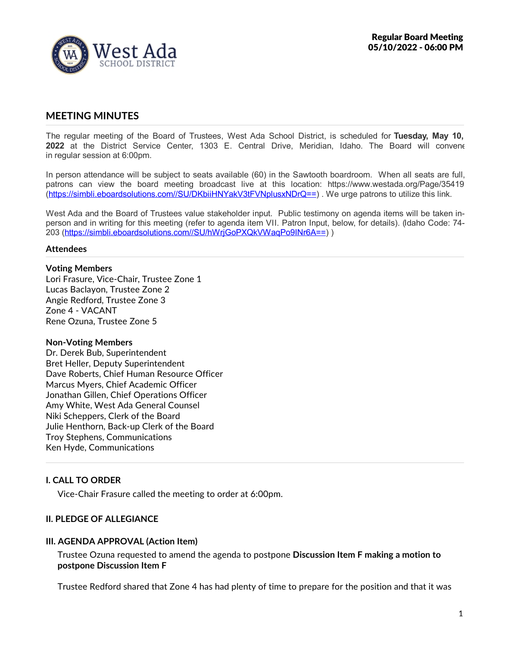

# **MEETING MINUTES**

The regular meeting of the Board of Trustees, West Ada School District, is scheduled for **Tuesday, May 10, 2022** at the District Service Center, 1303 E. Central Drive, Meridian, Idaho. The Board will convene in regular session at 6:00pm.

In person attendance will be subject to seats available (60) in the Sawtooth boardroom. When all seats are full, patrons can view the board meeting broadcast live at this location: https://www.westada.org/Page/35419 .<br>(https://simbli.eboardsolutions.com//SU/DKbiiHNYakV3tFVNplusxNDrQ==). We urge patrons to utilize this link.

West Ada and the Board of Trustees value stakeholder input. Public testimony on agenda items will be taken inperson and in writing for this meeting (refer to agenda item VII. Patron Input, below, for details). (Idaho Code: 74- 203 (https://simbli.eboardsolutions.com//SU/hWrjGoPXQkVWaqPo9INr6A==) )

#### **Attendees**

#### **Voting Members**

Lori Frasure, Vice-Chair, Trustee Zone 1 Lucas Baclayon, Trustee Zone 2 Angie Redford, Trustee Zone 3 Zone 4 - VACANT Rene Ozuna, Trustee Zone 5

#### **Non-Voting Members**

Dr. Derek Bub, Superintendent Bret Heller, Deputy Superintendent Dave Roberts, Chief Human Resource Officer Marcus Myers, Chief Academic Officer Jonathan Gillen, Chief Operations Officer Amy White, West Ada General Counsel Niki Scheppers, Clerk of the Board Julie Henthorn, Back-up Clerk of the Board Troy Stephens, Communications Ken Hyde, Communications

# **I. CALL TO ORDER**

Vice-Chair Frasure called the meeting to order at 6:00pm.

### **II. PLEDGE OF ALLEGIANCE**

### **III. AGENDA APPROVAL (Action Item)**

Trustee Ozuna requested to amend the agenda to postpone **Discussion Item F making a motion to postpone Discussion Item F**

Trustee Redford shared that Zone 4 has had plenty of time to prepare for the position and that it was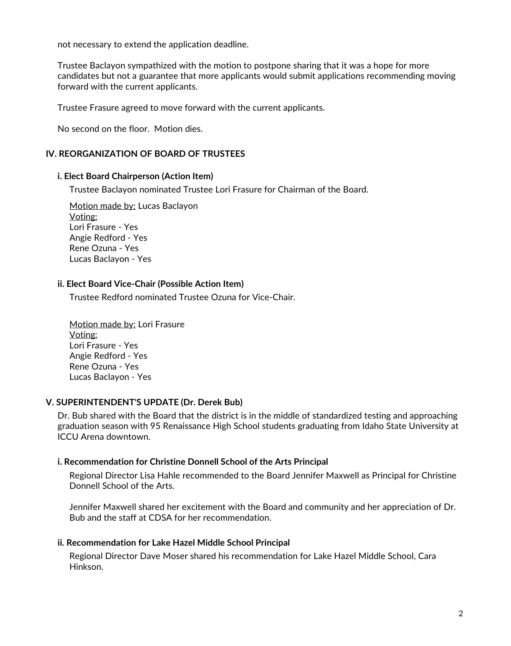not necessary to extend the application deadline.

Trustee Baclayon sympathized with the motion to postpone sharing that it was a hope for more candidates but not a guarantee that more applicants would submit applications recommending moving forward with the current applicants.

Trustee Frasure agreed to move forward with the current applicants.

No second on the floor. Motion dies.

## **IV. REORGANIZATION OF BOARD OF TRUSTEES**

#### **i. Elect Board Chairperson (Action Item)**

Trustee Baclayon nominated Trustee Lori Frasure for Chairman of the Board.

Motion made by: Lucas Baclayon Voting: Lori Frasure -Yes Angie Redford - Yes Rene Ozuna - Yes Lucas Baclayon - Yes

#### **ii. Elect Board Vice-Chair (Possible Action Item)**

Trustee Redford nominated Trustee Ozuna for Vice-Chair.

Motion made by: Lori Frasure Voting: Lori Frasure - Yes Angie Redford - Yes Rene Ozuna - Yes Lucas Baclayon - Yes

### **V. SUPERINTENDENT'S UPDATE (Dr. Derek Bub)**

Dr. Bub shared with the Board that the district is in the middle of standardized testing and approaching graduation season with 95 Renaissance High School students graduating from Idaho State University at ICCU Arena downtown.

### **i. Recommendation for Christine Donnell School of the Arts Principal**

Regional Director Lisa Hahle recommended to the Board Jennifer Maxwell as Principal for Christine Donnell School of the Arts.

Jennifer Maxwell shared her excitement with the Board and community and her appreciation of Dr. Bub and the staff at CDSA for her recommendation.

### **ii. Recommendation for Lake Hazel Middle School Principal**

Regional Director Dave Moser shared his recommendation for Lake Hazel Middle School, Cara Hinkson.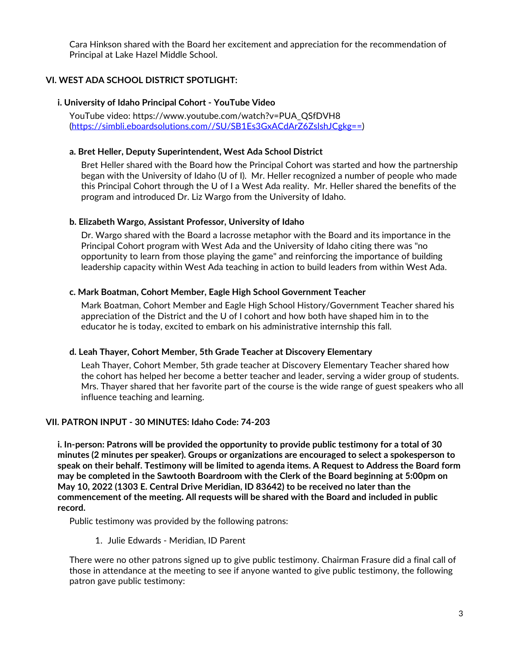Cara Hinkson shared with the Board her excitement and appreciation for the recommendation of Principal at Lake Hazel Middle School.

# **VI. WEST ADA SCHOOL DISTRICT SPOTLIGHT:**

### **i. University of Idaho Principal Cohort - YouTube Video**

YouTube video: https://www.youtube.com/watch?v=PUA\_QSfDVH8 (https://simbli.eboardsolutions.com//SU/SB1Es3GxACdArZ6ZslshJCgkg==)

#### **a. Bret Heller, Deputy Superintendent, West Ada School District**

Bret Heller shared with the Board how the Principal Cohort was started and how the partnership began with the University of Idaho (U of I). Mr. Heller recognized a number of people who made this Principal Cohort through the U of I a West Ada reality. Mr. Heller shared the benefits of the program and introduced Dr. Liz Wargo from the University of Idaho.

#### **b. Elizabeth Wargo, Assistant Professor, University of Idaho**

Dr. Wargo shared with the Board a lacrosse metaphor with the Board and its importance in the Principal Cohort program with West Ada and the University of Idaho citing there was "no opportunity to learn from those playing the game" and reinforcing the importance of building leadership capacity within West Ada teaching in action to build leaders from within West Ada.

#### **c. Mark Boatman, Cohort Member, Eagle High School Government Teacher**

Mark Boatman, Cohort Member and Eagle High School History/Government Teacher shared his appreciation of the District and the U of I cohort and how both have shaped him in to the educator he is today, excited to embark on his administrative internship this fall.

### **d. Leah Thayer, Cohort Member, 5th Grade Teacher at Discovery Elementary**

Leah Thayer, Cohort Member, 5th grade teacher at Discovery Elementary Teacher shared how the cohort has helped her become a better teacher and leader, serving a wider group of students.<br>Mrs. Thayer shared that her favorite part of the course is the wide range of guest speakers who all influence teaching and learning.

### **VII. PATRON INPUT - 30 MINUTES: Idaho Code: 74-203**

**i. In-person: Patrons will be provided the opportunity to provide public testimony for a total of 30 minutes (2 minutes per speaker). Groups or organizations are encouraged to select a spokesperson to** speak on their behalf. Testimony will be limited to agenda items. A Request to Address the Board form **may be completed in the Sawtooth Boardroom with the Clerk of the Board beginning at 5:00pm on May 10, 2022 (1303 E. Central Drive Meridian, ID 83642) to be received no later than the commencement of the meeting. All requests will be shared with the Board and included in public record.**

Public testimony was provided by the following patrons:

1. Julie Edwards - Meridian, ID Parent

There were no other patrons signed up to give public testimony. Chairman Frasure did a final call of those in attendance at the meeting to see if anyone wanted to give public testimony, the following patron gave public testimony: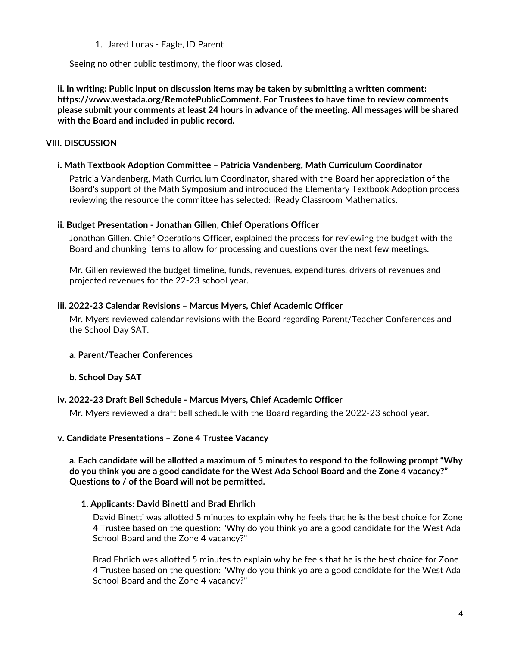## 1. Jared Lucas - Eagle, ID Parent

Seeing no other public testimony, the floor was closed.

**ii. In writing: Public input on discussion items may be taken by submitting a written comment: https://www.westada.org/RemotePublicComment. For Trustees to have time to review comments** please submit your comments at least 24 hours in advance of the meeting. All messages will be shared **with the Board and included in public record.**

# **VIII. DISCUSSION**

# **i. Math Textbook Adoption Committee – Patricia Vandenberg, Math Curriculum Coordinator**

Patricia Vandenberg, Math Curriculum Coordinator, shared with the Board her appreciation of the Board's support of the Math Symposium and introduced the Elementary Textbook Adoption process reviewing the resource the committee has selected: iReady Classroom Mathematics.

### **ii. Budget Presentation - Jonathan Gillen, Chief Operations Officer**

Jonathan Gillen, Chief Operations Officer, explained the process for reviewing the budget with the Board and chunking items to allow for processing and questions over the next few meetings.

Mr. Gillen reviewed the budget timeline, funds, revenues, expenditures, drivers of revenues and projected revenues for the 22-23 school year.

### **iii. 2022-23 Calendar Revisions – Marcus Myers, Chief Academic Officer**

Mr. Myers reviewed calendar revisions with the Board regarding Parent/Teacher Conferences and the School Day SAT.

### **a. Parent/Teacher Conferences**

# **b. School Day SAT**

# **iv. 2022-23 Draft Bell Schedule - Marcus Myers, Chief Academic Officer**

Mr. Myers reviewed a draft bell schedule with the Board regarding the 2022-23 school year.

### **v. Candidate Presentations – Zone 4 Trustee Vacancy**

**a. Each candidate will be allotted a maximum of 5 minutes to respond to the following prompt "Why** do you think you are a good candidate for the West Ada School Board and the Zone 4 vacancy?" **Questions to / of the Board will not be permitted.**

# **1. Applicants: David Binetti and Brad Ehrlich**

David Binetti was allotted 5 minutes to explain why he feels that he is the best choice for Zone 4 Trustee based on the question: "Why do you think yo are a good candidate for the West Ada School Board and the Zone 4 vacancy?"

Brad Ehrlich was allotted 5 minutes to explain why he feels that he is the best choice for Zone 4 Trustee based on the question: "Why do you think yo are a good candidate for the West Ada School Board and the Zone 4 vacancy?"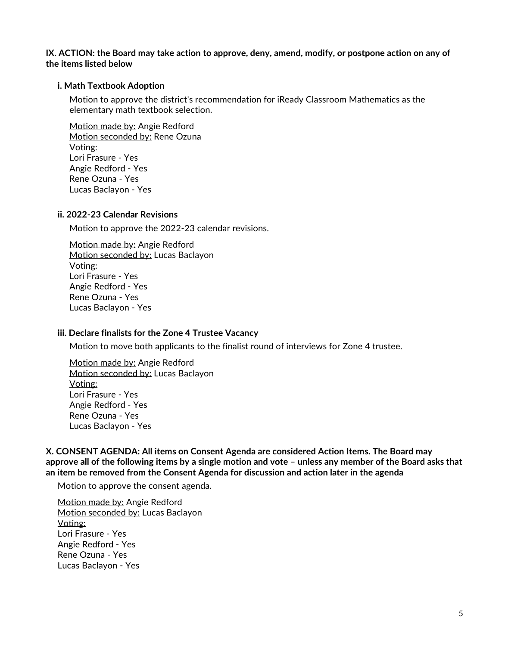## IX. ACTION: the Board may take action to approve, deny, amend, modify, or postpone action on any of **the items listed below**

## **i. Math Textbook Adoption**

Motion to approve the district's recommendation for iReady Classroom Mathematics as the elementary math textbook selection.

Motion made by: Angie Redford Motion seconded by: Rene Ozuna Voting: Lori Frasure -Yes Angie Redford - Yes Rene Ozuna - Yes Lucas Baclayon - Yes

### **ii. 2022-23 Calendar Revisions**

Motion to approve the 2022-23 calendar revisions.

Motion made by: Angie Redford Motion seconded by: Lucas Baclayon Voting: Lori Frasure - Yes Angie Redford - Yes Rene Ozuna - Yes Lucas Baclayon - Yes

# **iii. Declare finalists for the Zone 4 Trustee Vacancy**

Motion to move both applicants to the finalist round of interviews for Zone 4 trustee.

Motion made by: Angie Redford Motion seconded by: Lucas Baclayon Voting: Lori Frasure -Yes Angie Redford - Yes Rene Ozuna - Yes Lucas Baclayon - Yes

**X. CONSENT AGENDA: All items on Consent Agenda are considered Action Items. The Board may** approve all of the following items by a single motion and vote - unless any member of the Board asks that **an item be removed from the Consent Agenda for discussion and action later in the agenda**

Motion to approve the consent agenda.

Motion made by: Angie Redford Motion seconded by: Lucas Baclayon Voting: Lori Frasure - Yes Angie Redford - Yes Rene Ozuna - Yes Lucas Baclayon - Yes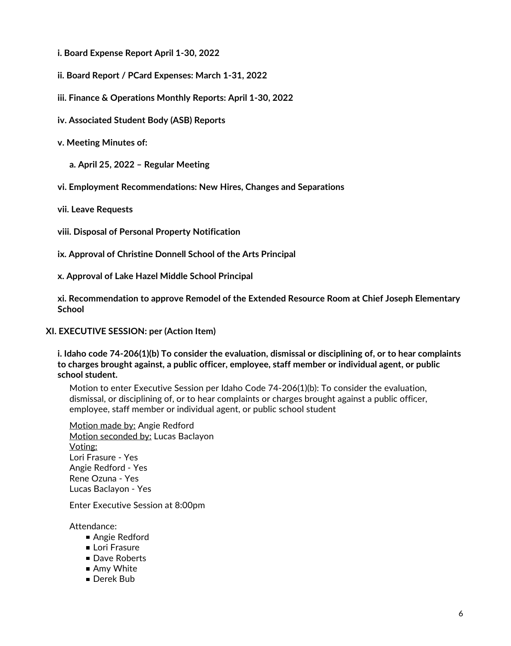- **i. Board Expense Report April 1-30, 2022**
- **ii. Board Report / PCard Expenses: March 1-31, 2022**
- **iii. Finance & Operations Monthly Reports: April 1-30, 2022**
- **iv. Associated Student Body (ASB) Reports**
- **v. Meeting Minutes of:**
	- **a. April 25, 2022 – Regular Meeting**
- **vi. Employment Recommendations: New Hires, Changes and Separations**
- **vii. Leave Requests**
- **viii. Disposal of Personal Property Notification**
- **ix. Approval of Christine Donnell School of the Arts Principal**
- **x. Approval of Lake Hazel Middle School Principal**

**xi. Recommendation to approve Remodel of the Extended Resource Room at Chief Joseph Elementary School**

# **XI. EXECUTIVE SESSION: per (Action Item)**

**i. Idaho code 74-206(1)(b) To consider the evaluation, dismissal or disciplining of, or to hear complaints to charges brought against, a public officer, employee, staff member or individual agent, or public school student.**

Motion to enter Executive Session per Idaho Code 74-206(1)(b): To consider the evaluation, dismissal, or disciplining of, or to hear complaints or charges brought against <sup>a</sup> public officer, employee, staff member or individual agent, or public school student

Motion made by: Angie Redford Motion seconded by: Lucas Baclayon Voting: Lori Frasure - Yes Angie Redford - Yes Rene Ozuna - Yes Lucas Baclayon - Yes

Enter Executive Session at 8:00pm

Attendance:

- Angie Redford
- **Lori Frasure**
- Dave Roberts
- Amy White
- Derek Bub